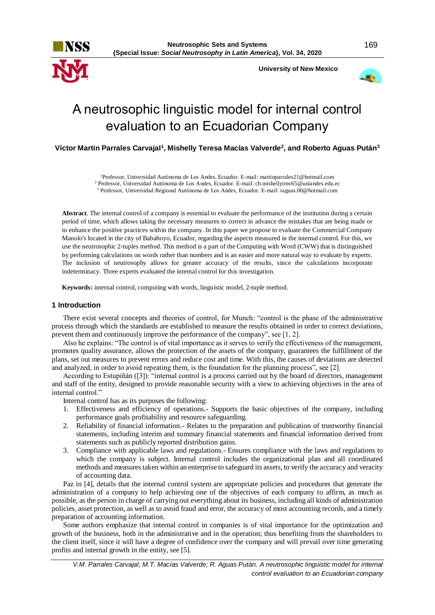



# A neutrosophic linguistic model for internal control evaluation to an Ecuadorian Company

**Víctor Martin Parrales Carvajal<sup>1</sup> , Mishelly Teresa Macías Valverde<sup>2</sup> , and Roberto Aguas Pután<sup>3</sup>**

<sup>1</sup>Professor, Universidad Autónoma de Los Andes, Ecuador. E-mail: martinparrales21@hotmail.com <sup>2</sup> Professor, Universidad Autónoma de Los Andes, Ecuador. E-mail: cb.mishellytmv65@uniandes.edu.ec

<sup>3</sup> Professor, Universidad Regional Autónoma de Los Andes, Ecuador. E-mail: [raguas.00@hotmail.com](mailto:raguas.00@hotmail.com)

**Abstract**. The internal control of a company is essential to evaluate the performance of the institution during a certain period of time, which allows taking the necessary measures to correct in advance the mistakes that are being made or to enhance the positive practices within the company. In this paper we propose to evaluate the Commercial Company Manolo's located in the city of Babahoyo, Ecuador, regarding the aspects measured in the internal control. For this, we use the neutrosophic 2-tuples method. This method is a part of the Computing with Word (CWW) that is distinguished by performing calculations on words rather than numbers and is an easier and more natural way to evaluate by experts. The inclusion of neutrosophy allows for greater accuracy of the results, since the calculations incorporate indeterminacy. Three experts evaluated the internal control for this investigation.

**Keywords:** internal control, computing with words, linguistic model, 2-tuple method.

## **1 Introduction**

There exist several concepts and theories of control, for Munch: "control is the phase of the administrative process through which the standards are established to measure the results obtained in order to correct deviations, prevent them and continuously improve the performance of the company", see [1, 2].

Also he explains: "The control is of vital importance as it serves to verify the effectiveness of the management, promotes quality assurance, allows the protection of the assets of the company, guarantees the fulfillment of the plans, set out measures to prevent errors and reduce cost and time. With this, the causes of deviations are detected and analyzed, in order to avoid repeating them, is the foundation for the planning process", see [2].

According to Estupiñán ([3]): "internal control is a process carried out by the board of directors, management and staff of the entity, designed to provide reasonable security with a view to achieving objectives in the area of internal control."

Internal control has as its purposes the following:

- 1. Effectiveness and efficiency of operations.- Supports the basic objectives of the company, including performance goals profitability and resource safeguarding.
- 2. Reliability of financial information.- Relates to the preparation and publication of trustworthy financial statements, including interim and summary financial statements and financial information derived from statements such as publicly reported distribution gains.
- 3. Compliance with applicable laws and regulations.- Ensures compliance with the laws and regulations to which the company is subject. Internal control includes the organizational plan and all coordinated methods and measures taken within an enterprise to safeguard its assets, to verify the accuracy and veracity of accounting data.

Paz in [4], details that the internal control system are appropriate policies and procedures that generate the administration of a company to help achieving one of the objectives of each company to affirm, as much as possible, as the person in charge of carrying out everything about its business, including all kinds of administration policies, asset protection, as well as to avoid fraud and error, the accuracy of most accounting records, and a timely preparation of accounting information.

Some authors emphasize that internal control in companies is of vital importance for the optimization and growth of the business, both in the administrative and in the operation; thus benefiting from the shareholders to the client itself, since it will have a degree of confidence over the company and will prevail over time generating profits and internal growth in the entity, see [5].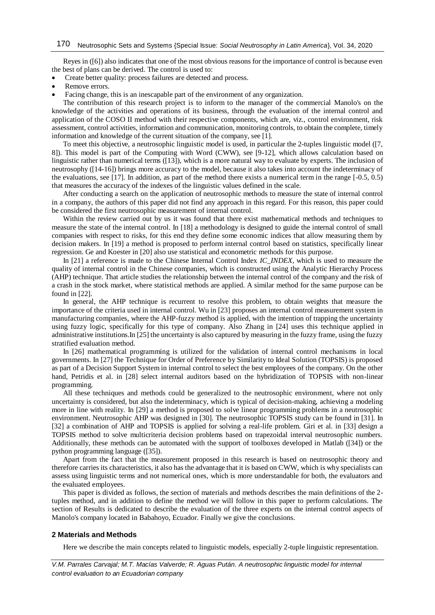Reyes in ([6]) also indicates that one of the most obvious reasons for the importance of control is because even the best of plans can be derived. The control is used to:

- Create better quality: process failures are detected and process.
- Remove errors.
- Facing change, this is an inescapable part of the environment of any organization.

The contribution of this research project is to inform to the manager of the commercial Manolo's on the knowledge of the activities and operations of its business, through the evaluation of the internal control and application of the COSO II method with their respective components, which are, viz., control environment, risk assessment, control activities, information and communication, monitoring controls, to obtain the complete, timely information and knowledge of the current situation of the company, see [1].

To meet this objective, a neutrosophic linguistic model is used, in particular the 2-tuples linguistic model ([7, 8]). This model is part of the Computing with Word (CWW), see [9-12], which allows calculation based on linguistic rather than numerical terms ([13]), which is a more natural way to evaluate by experts. The inclusion of neutrosophy ([14-16]) brings more accuracy to the model, because it also takes into account the indeterminacy of the evaluations, see [17]. In addition, as part of the method there exists a numerical term in the range [-0.5, 0.5) that measures the accuracy of the indexes of the linguistic values defined in the scale.

After conducting a search on the application of neutrosophic methods to measure the state of internal control in a company, the authors of this paper did not find any approach in this regard. For this reason, this paper could be considered the first neutrosophic measurement of internal control.

Within the review carried out by us it was found that there exist mathematical methods and techniques to measure the state of the internal control. In [18] a methodology is designed to guide the internal control of small companies with respect to risks, for this end they define some economic indices that allow measuring them by decision makers. In [19] a method is proposed to perform internal control based on statistics, specifically linear regression. Ge and Koester in [20] also use statistical and econometric methods for this purpose.

In [21] a reference is made to the Chinese Internal Control Index *IC\_INDEX*, which is used to measure the quality of internal control in the Chinese companies, which is constructed using the Analytic Hierarchy Process (AHP) technique. That article studies the relationship between the internal control of the company and the risk of a crash in the stock market, where statistical methods are applied. A similar method for the same purpose can be found in [22].

In general, the AHP technique is recurrent to resolve this problem, to obtain weights that measure the importance of the criteria used in internal control. Wu in [23] proposes an internal control measurement system in manufacturing companies, where the AHP-fuzzy method is applied, with the intention of trapping the uncertainty using fuzzy logic, specifically for this type of company. Also Zhang in [24] uses this technique applied in administrative institutions.In [25] the uncertainty is also captured by measuring in the fuzzy frame, using the fuzzy stratified evaluation method.

In [26] mathematical programming is utilized for the validation of internal control mechanisms in local governments. In [27] the Technique for Order of Preference by Similarity to Ideal Solution (TOPSIS) is proposed as part of a Decision Support System in internal control to select the best employees of the company. On the other hand, Petridis et al. in [28] select internal auditors based on the hybridization of TOPSIS with non-linear programming.

All these techniques and methods could be generalized to the neutrosophic environment, where not only uncertainty is considered, but also the indeterminacy, which is typical of decision-making, achieving a modeling more in line with reality. In [29] a method is proposed to solve linear programming problems in a neutrosophic environment. Neutrosophic AHP was designed in [30]. The neutrosophic TOPSIS study can be found in [31]. In [32] a combination of AHP and TOPSIS is applied for solving a real-life problem. Giri et al. in [33] design a TOPSIS method to solve multicriteria decision problems based on trapezoidal interval neutrosophic numbers. Additionally, these methods can be automated with the support of toolboxes developed in Matlab ([34]) or the python programming language ([35]).

Apart from the fact that the measurement proposed in this research is based on neutrosophic theory and therefore carries its characteristics, it also has the advantage that it is based on CWW, which is why specialists can assess using linguistic terms and not numerical ones, which is more understandable for both, the evaluators and the evaluated employees.

This paper is divided as follows, the section of materials and methods describes the main definitions of the 2 tuples method, and in addition to define the method we will follow in this paper to perform calculations. The section of Results is dedicated to describe the evaluation of the three experts on the internal control aspects of Manolo's company located in Babahoyo, Ecuador. Finally we give the conclusions.

#### **2 Materials and Methods**

Here we describe the main concepts related to linguistic models, especially 2-tuple linguistic representation.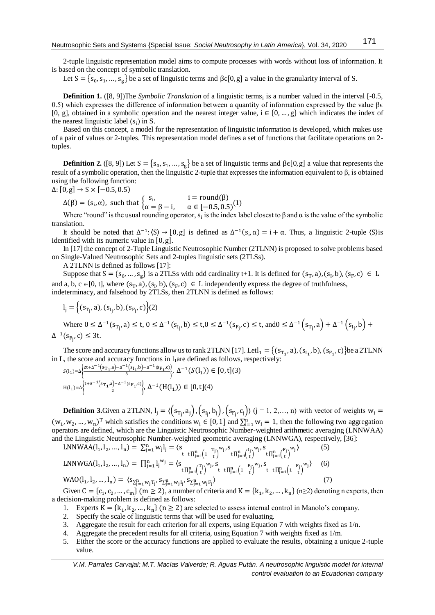2-tuple linguistic representation model aims to compute processes with words without loss of information. It is based on the concept of symbolic translation.

Let  $S = \{s_0, s_1, ..., s_g\}$  be a set of linguistic terms and  $\beta \in [0, g]$  a value in the granularity interval of S.

**Definition 1.** ([8, 9])The *Symbolic Translation* of a linguistic terms<sub>i</sub> is a number valued in the interval [-0.5, 0.5) which expresses the difference of information between a quantity of information expressed by the value  $\beta \epsilon$ [0, g], obtained in a symbolic operation and the nearest integer value,  $i \in \{0, ..., g\}$  which indicates the index of the nearest linguistic label  $(s_i)$  in S.

Based on this concept, a model for the representation of linguistic information is developed, which makes use of a pair of values or 2-tuples. This representation model defines a set of functions that facilitate operations on 2 tuples.

**Definition 2.** ([8, 9]) Let  $S = \{s_0, s_1, ..., s_g\}$  be a set of linguistic terms and  $\beta \in [0, g]$  a value that represents the result of a symbolic operation, then the linguistic 2-tuple that expresses the information equivalent to β, is obtained using the following function:

 $\Delta$ : [0, g] → S × [-0.5, 0.5)

 $\Delta(\beta) = (s_i, \alpha)$ , such that  $\begin{cases} s_i, & i = \text{round}(\beta) \\ \alpha - \beta - i, & \alpha \in [-\sqrt{2}, 0] \end{cases}$  $\alpha = \beta - i, \quad \alpha \in [-0.5, 0.5)^{(1)}$ 

Where "round" is the usual rounding operator,  $s_i$  is the index label closest to  $\beta$  and  $\alpha$  is the value of the symbolic translation.

It should be noted that  $\Delta^{-1}$ :  $(S) \rightarrow [0, g]$  is defined as  $\Delta^{-1}(s_i, \alpha) = i + \alpha$ . Thus, a linguistic 2-tuple  $\langle S \rangle$ is identified with its numeric value in [0,g].

In [17] the concept of 2-Tuple Linguistic Neutrosophic Number (2TLNN) is proposed to solve problems based on Single-Valued Neutrosophic Sets and 2-tuples linguistic sets (2TLSs).

A 2TLNN is defined as follows [17]:

Suppose that  $S = \{s_0, ..., s_g\}$  is a 2TLSs with odd cardinality t+1. It is defined for  $(s_T, a)$ ,  $(s_I, b)$ ,  $(s_F, c) \in L$ and a, b, c  $\in [0, t]$ , where  $(s_T, a)$ ,  $(s_I, b)$ ,  $(s_F, c) \in L$  independently express the degree of truthfulness, indeterminacy, and falsehood by 2TLSs, then 2TLNN is defined as follows:

$$
l_j = \left\{ (s_{T_j}, a), (s_{I_j}, b), (s_{F_j}, c) \right\} (2)
$$

Where  $0 \leq \Delta^{-1}(s_{T_j}, a) \leq t, 0 \leq \Delta^{-1}(s_{I_j}, b) \leq t, 0 \leq \Delta^{-1}(s_{F_j}, c) \leq t$ , and  $0 \leq \Delta^{-1}(s_{T_j}, a) + \Delta^{-1}(s_{I_j}, b) +$  $\Delta^{-1}(s_{F_j}, c) \leq 3t$ .

The score and accuracy functions allow us to rank 2TLNN [17]. Let  $l_1 = \{(s_{T_1}, a), (s_{I_1}, b), (s_{F_1}, c)\}$ be a 2TLNN in L, the score and accuracy functions in  $l_1$ are defined as follows, respectively:

$$
S(1_1) = \Delta \left\{ \frac{2t + \Delta^{-1} (s_{T_1}, a) - \Delta^{-1} (s_{I_1}, b) - \Delta^{-1} (s_{F_1}, c)}{3} \right\}, \ \Delta^{-1} (S(1_1)) \in [0, t](3)
$$
  

$$
H(1_1) = \Delta \left\{ \frac{t + \Delta^{-1} (s_{T_1}, a) - \Delta^{-1} (s_{F_1}, c)}{2} \right\}, \ \Delta^{-1} (H(1_1)) \in [0, t](4)
$$

**Definition 3.**Given a 2TLNN,  $I_j = \langle (s_{T_j}, a_j), (s_{I_j}, b_j), (s_{F_j}, c_j) \rangle$   $(j = 1, 2, ..., n)$  with vector of weights  $w_i =$  $(w_1, w_2, ..., w_n)^T$  which satisfies the conditions  $w_i \in [0, 1]$  and  $\sum_{i=1}^n w_i = 1$ , then the following two aggregation operators are defined, which are the Linguistic Neutrosophic Number-weighted arithmetic averaging (LNNWAA) and the Linguistic Neutrosophic Number-weighted geometric averaging (LNNWGA), respectively, [36]:

$$
LNNWAA(I_1, I_2, ..., I_n) = \sum_{j=1}^{n} w_j I_j = \langle s_{t-t\prod_{j=1}^{n} (1 - \frac{T_j}{t})^{w_j, S} t \prod_{j=1}^{n} (\frac{I_j}{t})^{w_j, S} t \prod_{j=1}^{n} (\frac{F_j}{t})^{w_j}} \rangle
$$
(5)  
\n
$$
LNNWGA(I_1, I_2, ..., I_n) = \prod_{j=1}^{n} I_j^{w_j} = \langle s_{t\prod_{j=1}^{n} (\frac{T_j}{t})^{w_j, S} t-t \prod_{j=1}^{n} (1 - \frac{F_j}{t})^{w_j, S}} \cdots \sum_{t-t\prod_{j=1}^{n} (1 - \frac{F_j}{t})^{w_j}} \rangle
$$
(6)  
\n
$$
WAO(I_1, I_2, ..., I_n) = \langle s_{\sum_{j=1}^{n} w_j T_j}, s_{\sum_{j=1}^{n} w_j I_j}, s_{\sum_{j=1}^{n} w_j F_j} \rangle
$$
(7)

Given  $C = \{c_1, c_2, ..., c_m\}$  (m  $\ge 2$ ), a number of criteria and  $K = \{k_1, k_2, ..., k_n\}$  (n  $\ge 2$ ) denoting n experts, then a decision-making problem is defined as follows:

- 1. Experts  $K = \{k_1, k_2, ..., k_n\}$  ( $n \ge 2$ ) are selected to assess internal control in Manolo's company.
- 2. Specify the scale of linguistic terms that will be used for evaluating.
- 3. Aggregate the result for each criterion for all experts, using Equation 7 with weights fixed as  $1/n$ .
- 4. Aggregate the precedent results for all criteria, using Equation 7 with weights fixed as 1/m.
- 5. Either the score or the accuracy functions are applied to evaluate the results, obtaining a unique 2-tuple value.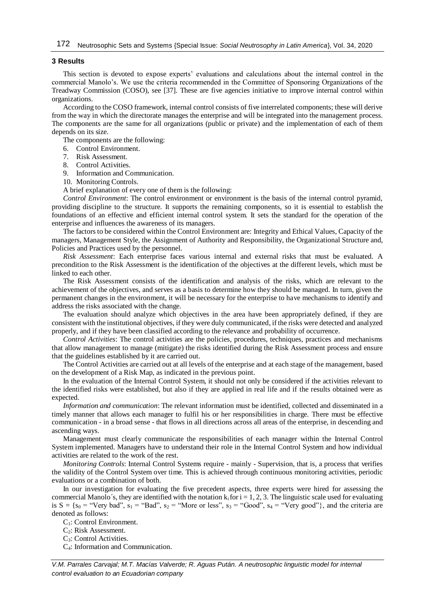## **3 Results**

This section is devoted to expose experts' evaluations and calculations about the internal control in the commercial Manolo's. We use the criteria recommended in the Committee of Sponsoring Organizations of the Treadway Commission (COSO), see [37]. These are five agencies initiative to improve internal control within organizations.

According to the COSO framework, internal control consists of five interrelated components; these will derive from the way in which the directorate manages the enterprise and will be integrated into the management process. The components are the same for all organizations (public or private) and the implementation of each of them depends on its size.

The components are the following:

- 6. Control Environment.
- 7. Risk Assessment.
- 8. Control Activities.

9. Information and Communication.

10. Monitoring Controls.

A brief explanation of every one of them is the following:

*Control Environment*: The control environment or environment is the basis of the internal control pyramid, providing discipline to the structure. It supports the remaining components, so it is essential to establish the foundations of an effective and efficient internal control system. It sets the standard for the operation of the enterprise and influences the awareness of its managers.

The factors to be considered within the Control Environment are: Integrity and Ethical Values, Capacity of the managers, Management Style, the Assignment of Authority and Responsibility, the Organizational Structure and, Policies and Practices used by the personnel.

*Risk Assessment*: Each enterprise faces various internal and external risks that must be evaluated. A precondition to the Risk Assessment is the identification of the objectives at the different levels, which must be linked to each other.

The Risk Assessment consists of the identification and analysis of the risks, which are relevant to the achievement of the objectives, and serves as a basis to determine how they should be managed. In turn, given the permanent changes in the environment, it will be necessary for the enterprise to have mechanisms to identify and address the risks associated with the change.

The evaluation should analyze which objectives in the area have been appropriately defined, if they are consistent with the institutional objectives, if they were duly communicated, if the risks were detected and analyzed properly, and if they have been classified according to the relevance and probability of occurrence.

*Control Activities*: The control activities are the policies, procedures, techniques, practices and mechanisms that allow management to manage (mitigate) the risks identified during the Risk Assessment process and ensure that the guidelines established by it are carried out.

The Control Activities are carried out at all levels of the enterprise and at each stage of the management, based on the development of a Risk Map, as indicated in the previous point.

In the evaluation of the Internal Control System, it should not only be considered if the activities relevant to the identified risks were established, but also if they are applied in real life and if the results obtained were as expected.

*Information and communication*: The relevant information must be identified, collected and disseminated in a timely manner that allows each manager to fulfil his or her responsibilities in charge. There must be effective communication - in a broad sense - that flows in all directions across all areas of the enterprise, in descending and ascending ways.

Management must clearly communicate the responsibilities of each manager within the Internal Control System implemented. Managers have to understand their role in the Internal Control System and how individual activities are related to the work of the rest.

*Monitoring Controls*: Internal Control Systems require - mainly - Supervision, that is, a process that verifies the validity of the Control System over time. This is achieved through continuous monitoring activities, periodic evaluations or a combination of both.

In our investigation for evaluating the five precedent aspects, three experts were hired for assessing the commercial Manolo´s, they are identified with the notation  $k_i$  for  $i = 1, 2, 3$ . The linguistic scale used for evaluating is  $S = \{s_0 = "Very bad", s_1 = "Bad", s_2 = "More or less", s_3 = "Good", s_4 = "Very good"}\}$ , and the criteria are denoted as follows:

C1: Control Environment.

- C2: Risk Assessment.
- C3: Control Activities.
- C4: Information and Communication.

*V.M. Parrales Carvajal; M.T. Macías Valverde; R. Aguas Pután. A neutrosophic linguistic model for internal control evaluation to an Ecuadorian company*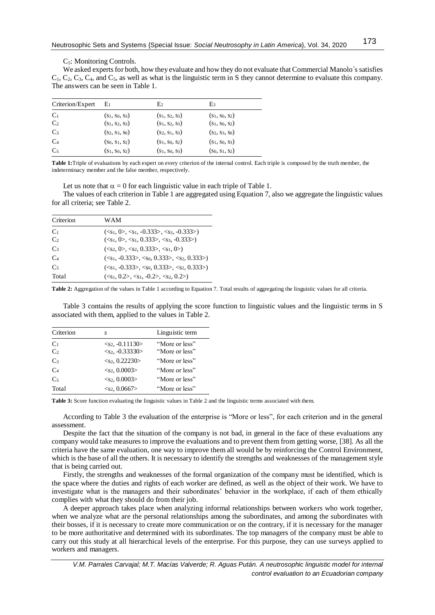#### C5: Monitoring Controls.

We asked experts for both, how they evaluate and how they do not evaluate that Commercial Manolo´s satisfies  $C_1, C_2, C_3, C_4$ , and  $C_5$ , as well as what is the linguistic term in S they cannot determine to evaluate this company. The answers can be seen in Table 1.

| Criterion/Expert | E1                | E <sub>2</sub>    | E3                |  |
|------------------|-------------------|-------------------|-------------------|--|
| C <sub>1</sub>   | $(s_1, s_0, s_3)$ | $(s_1, s_2, s_3)$ | $(s_1, s_0, s_2)$ |  |
| C <sub>2</sub>   | $(s_1, s_2, s_3)$ | $(s_1, s_2, s_3)$ | $(s_1, s_0, s_2)$ |  |
| C <sub>3</sub>   | $(s_2, s_3, s_0)$ | $(s_2, s_1, s_3)$ | $(s_2, s_3, s_0)$ |  |
| C <sub>4</sub>   | $(s_0, s_1, s_2)$ | $(s_1, s_0, s_2)$ | $(s_1, s_0, s_3)$ |  |
| C <sub>5</sub>   | $(s_1, s_0, s_2)$ | $(s_1, s_0, s_3)$ | $(s_0, s_1, s_2)$ |  |

**Table 1:**Triple of evaluations by each expert on every criterion of the internal control. Each triple is composed by the truth member, the indeterminacy member and the false member, respectively.

Let us note that  $\alpha = 0$  for each linguistic value in each triple of Table 1.

The values of each criterion in Table 1 are aggregated using Equation 7, also we aggregate the linguistic values for all criteria; see Table 2.

| Criterion      | WAM                                    |
|----------------|----------------------------------------|
| C <sub>1</sub> | $(s1, 0>, s1, -0.333>, s2, -0.333)$    |
| C <sub>2</sub> | $(s1, 0>, s1, 0.333>, s2, s3, -0.333)$ |
| C <sub>3</sub> | $(s2, 0>, s2, 0.333>, s1, 0)$          |
| C <sub>4</sub> | $(s1, -0.333>, s0, 0.333>, s0, 0.333)$ |
| C <sub>5</sub> | $(s1, -0.333>, s0, 0.333>, s0, 0.333)$ |
| Total          | $(s1, 0.2>, s1, -0.2>, s2, 0.2)$       |

**Table 2:** Aggregation of the values in Table 1 according to Equation 7. Total results of aggregating the linguistic values for all criteria.

Table 3 contains the results of applying the score function to linguistic values and the linguistic terms in S associated with them, applied to the values in Table 2.

| Criterion      | S                              | Linguistic term |
|----------------|--------------------------------|-----------------|
| C <sub>1</sub> | $<$ s <sub>2</sub> , -0.11130> | "More or less"  |
| C <sub>2</sub> | $<$ s <sub>2</sub> , -0.33330> | "More or less"  |
| C <sub>3</sub> | $<$ s <sub>2</sub> , 0.22230>  | "More or less"  |
| C <sub>4</sub> | $<$ s <sub>2</sub> , 0.0003>   | "More or less"  |
| C <sub>5</sub> | $<$ s <sub>2</sub> , 0.0003>   | "More or less"  |
| Total          | $<$ s2, 0.0667>                | "More or less"  |

**Table 3:** Score function evaluating the linguistic values in Table 2 and the linguistic terms associated with them.

According to Table 3 the evaluation of the enterprise is "More or less", for each criterion and in the general assessment.

Despite the fact that the situation of the company is not bad, in general in the face of these evaluations any company would take measures to improve the evaluations and to prevent them from getting worse, [38]. As all the criteria have the same evaluation, one way to improve them all would be by reinforcing the Control Environment, which is the base of all the others. It is necessary to identify the strengths and weaknesses of the management style that is being carried out.

Firstly, the strengths and weaknesses of the formal organization of the company must be identified, which is the space where the duties and rights of each worker are defined, as well as the object of their work. We have to investigate what is the managers and their subordinates' behavior in the workplace, if each of them ethically complies with what they should do from their job.

A deeper approach takes place when analyzing informal relationships between workers who work together, when we analyze what are the personal relationships among the subordinates, and among the subordinates with their bosses, if it is necessary to create more communication or on the contrary, if it is necessary for the manager to be more authoritative and determined with its subordinates. The top managers of the company must be able to carry out this study at all hierarchical levels of the enterprise. For this purpose, they can use surveys applied to workers and managers.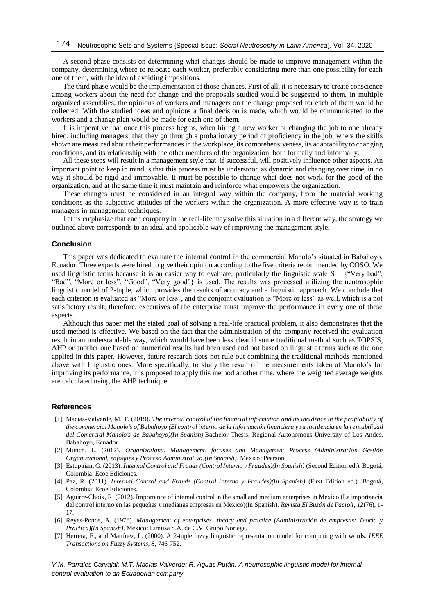A second phase consists on determining what changes should be made to improve management within the company, determining where to relocate each worker, preferably considering more than one possibility for each one of them, with the idea of avoiding impositions.

The third phase would be the implementation of those changes. First of all, it is necessary to create conscience among workers about the need for change and the proposals studied would be suggested to them. In multiple organized assemblies, the opinions of workers and managers on the change proposed for each of them would be collected. With the studied ideas and opinions a final decision is made, which would be communicated to the workers and a change plan would be made for each one of them.

It is imperative that once this process begins, when hiring a new worker or changing the job to one already hired, including managers, that they go through a probationary period of proficiency in the job, where the skills shown are measured about their performances in the workplace, its comprehensiveness, its adaptability to changing conditions, and its relationship with the other members of the organization, both formally and informally.

All these steps will result in a management style that, if successful, will positively influence other aspects. An important point to keep in mind is that this process must be understood as dynamic and changing over time, in no way it should be rigid and immovable. It must be possible to change what does not work for the good of the organization, and at the same time it must maintain and reinforce what empowers the organization.

These changes must be considered in an integral way within the company, from the material working conditions as the subjective attitudes of the workers within the organization. A more effective way is to train managers in management techniques.

Let us emphasize that each company in the real-life may solve this situation in a different way, the strategy we outlined above corresponds to an ideal and applicable way of improving the management style.

#### **Conclusion**

This paper was dedicated to evaluate the internal control in the commercial Manolo's situated in Babahoyo, Ecuador. Three experts were hired to give their opinion according to the five criteria recommended by COSO. We used linguistic terms because it is an easier way to evaluate, particularly the linguistic scale  $S = {$ "Very bad", "Bad", "More or less", "Good", "Very good"} is used. The results was processed utilizing the neutrosophic linguistic model of 2-tuple, which provides the results of accuracy and a linguistic approach. We conclude that each criterion is evaluated as "More or less", and the conjoint evaluation is "More or less" as well, which is a not satisfactory result; therefore, executives of the enterprise must improve the performance in every one of these aspects.

Although this paper met the stated goal of solving a real-life practical problem, it also demonstrates that the used method is effective. We based on the fact that the administration of the company received the evaluation result in an understandable way, which would have been less clear if some traditional method such as TOPSIS, AHP or another one based on numerical results had been used and not based on linguistic terms such as the one applied in this paper. However, future research does not rule out combining the traditional methods mentioned above with linguistic ones. More specifically, to study the result of the measurements taken at Manolo's for improving its performance, it is proposed to apply this method another time, where the weighted average weights are calculated using the AHP technique.

## **References**

- [1] Macías-Valverde, M. T. (2019). *The internal control of the financial information and its incidence in the profitability of the commercial Manolo's of Babahoyo (El control interno de la información financiera y su incidencia en la rentabilidad del Comercial Manolo's de Babahoyo)(In Spanish).*Bachelor Thesis, Regional Autonomous University of Los Andes, Babahoyo, Ecuador.
- [2] Munch, L. (2012). *Organizational Management, focuses and Management Process (Administración Gestión Organizacional, enfoques y Proceso Administrativo)(In Spanish)*. Mexico: Pearson.
- [3] Estupiñán, G. (2013). *Internal Control and Frauds (Control Interno y Fraudes)(In Spanish)* (Second Edition ed.). Bogotá, Colombia: Ecoe Ediciones.
- [4] Paz, R. (2011). *Internal Control and Frauds (Control Interno y Fraudes)(In Spanish)* (First Edition ed.). Bogotá, Colombia: Ecoe Ediciones.
- [5] Aguirre-Choix, R. (2012). Importance of internal control in the small and medium enterprises in Mexico (La importancia del control interno en las pequeñas y medianas empresas en México)(In Spanish). *Revista El Buzón de Pacioli, 12*(76), 1- 17.
- [6] Reyes-Ponce, A. (1978). *Management of enterprises: theory and practice (Administración de empresas: Teoría y Práctica)(In Spanish)*. Mexico: Limusa S.A. de C.V. Grupo Noriega.
- [7] Herrera, F., and Martínez, L. (2000). A 2-tuple fuzzy linguistic representation model for computing with words. *IEEE Transactions on Fuzzy Systems, 8*, 746-752.

*V.M. Parrales Carvajal; M.T. Macías Valverde; R. Aguas Pután. A neutrosophic linguistic model for internal control evaluation to an Ecuadorian company*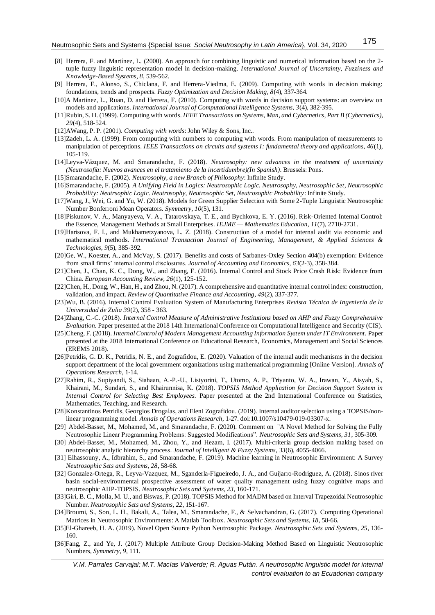- [8] Herrera, F. and Martínez, L. (2000). An approach for combining linguistic and numerical information based on the 2 tuple fuzzy linguistic representation model in decision-making. *International Journal of Uncertainty, Fuzziness and Knowledge-Based Systems, 8*, 539-562.
- [9] Herrera, F., Alonso, S., Chiclana, F. and Herrera-Viedma, E. (2009). Computing with words in decision making: foundations, trends and prospects. *Fuzzy Optimization and Decision Making, 8*(4), 337-364.
- [10]A Martinez, L., Ruan, D. and Herrera, F. (2010). Computing with words in decision support systems: an overview on models and applications. *International Journal of Computational Intelligence Systems, 3*(4), 382-395.
- [11]Rubin, S. H. (1999). Computing with words. *IEEE Transactions on Systems, Man, and Cybernetics, Part B (Cybernetics), 29*(4), 518-524.
- [12]AWang, P. P. (2001). *Computing with words*: John Wiley & Sons, Inc..
- [13]Zadeh, L. A. (1999). From computing with numbers to computing with words. From manipulation of measurements to manipulation of perceptions. *IEEE Transactions on circuits and systems I: fundamental theory and applications, 46*(1), 105-119.
- [14]Leyva-Vázquez, M. and Smarandache, F. (2018). *Neutrosophy: new advances in the treatment of uncertainty (Neutrosofía: Nuevos avances en el tratamiento de la incertidumbre)(In Spanish)*. Brussels: Pons.
- [15]Smarandache, F. (2002). *Neutrosophy, a new Branch of Philosophy*: Infinite Study.
- [16]Smarandache, F. (2005). *A Unifying Field in Logics: Neutrosophic Logic. Neutrosophy, Neutrosophic Set, Neutrosophic Probability: Neutrsophic Logic. Neutrosophy, Neutrosophic Set, Neutrosophic Probability*: Infinite Study.
- [17]Wang, J., Wei, G. and Yu, W. (2018). Models for Green Supplier Selection with Some 2-Tuple Linguistic Neutrosophic Number Bonferroni Mean Operators. *Symmetry, 10*(5), 131.
- [18]Piskunov, V. A., Manyayeva, V. A., Tatarovskaya, T. E., and Bychkova, E. Y. (2016). Risk-Oriented Internal Control: the Essence, Management Methods at Small Enterprises. *IEJME — Mathematics Education, 11*(7), 2710-2731.
- [19]Harisova, F. I., and Mukhametzyanova, L. Z. (2018). Construction of a model for internal audit via economic and mathematical methods. *International Transaction Journal of Engineering, Management, & Applied Sciences & Technologies, 9*(5), 385-392.
- [20]Ge, W., Koester, A., and McVay, S. (2017). Benefits and costs of Sarbanes-Oxley Section 404(b) exemption: Evidence from small firms' internal control disclosures. *Journal of Accounting and Economics, 63*(2-3), 358-384.
- [21]Chen, J., Chan, K. C., Dong, W., and Zhang, F. (2016). Internal Control and Stock Price Crash Risk: Evidence from China. *European Accounting Review, 26*(1), 125-152.
- [22]Chen, H., Dong, W., Han, H., and Zhou, N. (2017). A comprehensive and quantitative internal control index: construction, validation, and impact. *Review of Quantitative Finance and Accounting, 49*(2), 337-377.
- [23]Wu, B. (2016). Internal Control Evaluation System of Manufacturing Enterprises *Revista Técnica de Ingeniería de la Universidad de Zulia 39*(2), 358 - 363.
- [24]Zhang, C.-C. (2018). *Internal Control Measure of Administrative Institutions based on AHP and Fuzzy Comprehensive Evaluation.* Paper presented at the 2018 14th International Conference on Computational Intelligence and Security (CIS).
- [25]Cheng, F. (2018). *Internal Control of Modern Management Accounting Information System under IT Environment.* Paper presented at the 2018 International Conference on Educational Research, Economics, Management and Social Sciences (EREMS 2018).
- [26]Petridis, G. D. K., Petridis, N. E., and Zografidou, E. (2020). Valuation of the internal audit mechanisms in the decision support department of the local government organizations using mathematical programming [Online Version]. *Annals of Operations Research,* 1-14.
- [27]Rahim, R., Supiyandi, S., Siahaan, A.-P.-U., Listyorini, T., Utomo, A. P., Triyanto, W. A., Irawan, Y., Aisyah, S., Khairani, M., Sundari, S., and Khairunnisa, K. (2018). *TOPSIS Method Application for Decision Support System in Internal Control for Selecting Best Employees.* Paper presented at the 2nd International Conference on Statistics, Mathematics, Teaching, and Research.
- [28]Konstantinos Petridis, Georgios Drogalas, and Eleni Zografidou. (2019). Internal auditor selection using a TOPSIS/nonlinear programming model. *Annals of Operations Research,* 1-27. doi:10.1007/s10479-019-03307-x.
- [29] Abdel-Basset, M., Mohamed, M., and Smarandache, F. (2020). Comment on "A Novel Method for Solving the Fully Neutrosophic Linear Programming Problems: Suggested Modifications". *Neutrosophic Sets and Systems, 31*, 305-309.
- [30] Abdel-Basset, M., Mohamed, M., Zhou, Y., and Hezam, I. (2017). Multi-criteria group decision making based on neutrosophic analytic hierarchy process. *Journal of Intelligent & Fuzzy Systems*, *33*(6), 4055-4066.
- [31] Elhassouny, A., Idbrahim, S., and Smarandache, F. (2019). Machine learning in Neutrosophic Environment: A Survey *Neutrosophic Sets and Systems, 28*, 58-68.
- [32] Gonzalez-Ortega, R., Leyva-Vazquez, M., Sganderla-Figueiredo, J. A., and Guijarro-Rodriguez, A. (2018). Sinos river basin social-environmental prospective assessment of water quality management using fuzzy cognitive maps and neutrosophic AHP-TOPSIS. *Neutrosophic Sets and Systems, 23*, 160-171.
- [33]Giri, B. C., Molla, M. U., and Biswas, P. (2018). TOPSIS Method for MADM based on Interval Trapezoidal Neutrosophic Number. *Neutrosophic Sets and Systems, 22*, 151-167.
- [34]Broumi, S., Son, L. H., Bakali, A., Talea, M., Smarandache, F., & Selvachandran, G. (2017). Computing Operational Matrices in Neutrosophic Environments: A Matlab Toolbox. *Neutrosophic Sets and Systems, 18*, 58-66.
- [35]El-Ghareeb, H. A. (2019). Novel Open Source Python Neutrosophic Package. *Neutrosophic Sets and Systems, 25*, 136- 160.
- [36]Fang, Z., and Ye, J. (2017) Multiple Attribute Group Decision-Making Method Based on Linguistic Neutrosophic Numbers, *Symmetry*, *9*, 111.